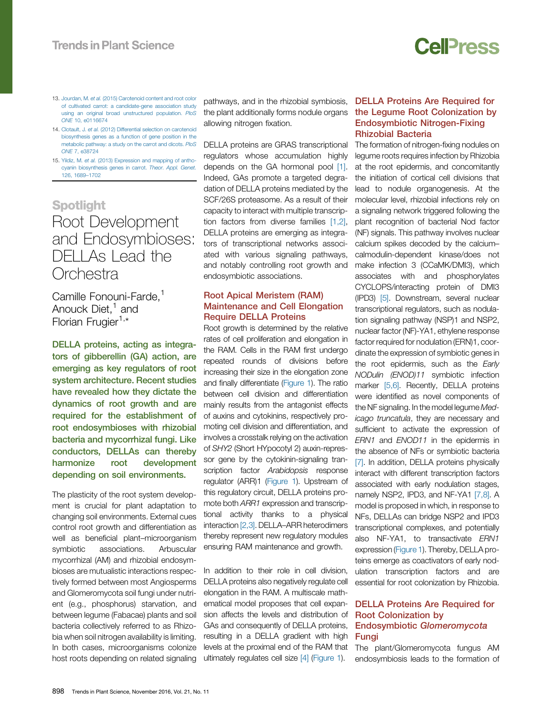- <span id="page-0-0"></span>13. Jourdan, M. et al. (2015) [Carotenoid](http://refhub.elsevier.com/S1360-1385(16)30124-8/sbref0140) content and root color of cultivated carrot: a [candidate-gene](http://refhub.elsevier.com/S1360-1385(16)30124-8/sbref0140) association study using an original broad [unstructured](http://refhub.elsevier.com/S1360-1385(16)30124-8/sbref0140) population. PloS ONE 10, [e0116674](http://refhub.elsevier.com/S1360-1385(16)30124-8/sbref0140)
- 14. Clotault, J. et al. (2012) Differential selection on [carotenoid](http://refhub.elsevier.com/S1360-1385(16)30124-8/sbref0145) [biosynthesis](http://refhub.elsevier.com/S1360-1385(16)30124-8/sbref0145) genes as a function of gene position in the [metabolic](http://refhub.elsevier.com/S1360-1385(16)30124-8/sbref0145) pathway: a study on the carrot and dicots. PloS ONE 7, [e38724](http://refhub.elsevier.com/S1360-1385(16)30124-8/sbref0145)
- 15. Yildiz, M. et al. (2013) [Expression](http://refhub.elsevier.com/S1360-1385(16)30124-8/sbref0150) and mapping of anthocyanin [biosynthesis](http://refhub.elsevier.com/S1360-1385(16)30124-8/sbref0150) genes in carrot. Theor. Appl. Genet. 126, [1689](http://refhub.elsevier.com/S1360-1385(16)30124-8/sbref0150)–1702

## Root Development and Endosymbioses: DELLAs Lead the **Orchestra**

Camille Fonouni-Farde,<sup>1</sup> Anouck Diet, $<sup>1</sup>$  and</sup> Florian Frugier<sup>1,\*</sup>

DELLA proteins, acting as integrators of gibberellin (GA) action, are emerging as key regulators of root system architecture. Recent studies have revealed how they dictate the dynamics of root growth and are required for the establishment of root endosymbioses with rhizobial bacteria and mycorrhizal fungi. Like conductors, DELLAs can thereby harmonize root development depending on soil environments.

The plasticity of the root system development is crucial for plant adaptation to changing soil environments. External cues control root growth and differentiation as well as beneficial plant–microorganism symbiotic associations. Arbuscular mycorrhizal (AM) and rhizobial endosymbioses are mutualistic interactions respectively formed between most Angiosperms and Glomeromycota soil fungi under nutrient (e.g., phosphorus) starvation, and between legume (Fabacae) plants and soil bacteria collectively referred to as Rhizobia when soil nitrogen availability is limiting. In both cases, microorganisms colonize host roots depending on related signaling

pathways, and in the rhizobial symbiosis, the plant additionally forms nodule organs allowing nitrogen fixation.

DELLA proteins are GRAS transcriptional regulators whose accumulation highly depends on the GA hormonal pool [\[1\].](#page-2-0) Indeed, GAs promote a targeted degradation of DELLA proteins mediated by the SCF/26S proteasome. As a result of their capacity to interact with multiple transcription factors from diverse families [\[1,2\],](#page-2-0) DELLA proteins are emerging as integrators of transcriptional networks associated with various signaling pathways, and notably controlling root growth and endosymbiotic associations.

## Root Apical Meristem (RAM) Maintenance and Cell Elongation Require DELLA Proteins

Root growth is determined by the relative rates of cell proliferation and elongation in the RAM. Cells in the RAM first undergo repeated rounds of divisions before increasing their size in the elongation zone and finally differentiate ([Figure](#page-1-0) 1). The ratio between cell division and differentiation mainly results from the antagonist effects of auxins and cytokinins, respectively promoting cell division and differentiation, and involves a crosstalk relying on the activation of SHY2 (Short HYpocotyl 2) auxin-repressor gene by the cytokinin-signaling transcription factor Arabidopsis response regulator (ARR)1 [\(Figure](#page-1-0) 1). Upstream of this regulatory circuit, DELLA proteins promote both ARR1 expression and transcriptional activity thanks to a physical interaction [\[2,3\]](#page-2-0). DELLA–ARR heterodimers thereby represent new regulatory modules ensuring RAM maintenance and growth.

In addition to their role in cell division, DELLA proteins also negatively regulate cell elongation in the RAM. A multiscale mathematical model proposes that cell expansion affects the levels and distribution of GAs and consequently of DELLA proteins, resulting in a DELLA gradient with high levels at the proximal end of the RAM that ultimately regulates cell size [\[4\]](#page-2-0) [\(Figure](#page-1-0) 1).

## DELLA Proteins Are Required for the Legume Root Colonization by Endosymbiotic Nitrogen-Fixing Rhizobial Bacteria

**Cell**<sub>ress</sub>

The formation of nitrogen-fixing nodules on legume roots requires infection by Rhizobia at the root epidermis, and concomitantly the initiation of cortical cell divisions that lead to nodule organogenesis. At the molecular level, rhizobial infections rely on a signaling network triggered following the plant recognition of bacterial Nod factor (NF) signals. This pathway involves nuclear calcium spikes decoded by the calcium– calmodulin-dependent kinase/does not make infection 3 (CCaMK/DMI3), which [associates](http://www.carrotmuseum.co.uk/) with and phosphorylates CYCLOPS/interacting protein of DMI3 (IPD3) [\[5\].](#page-2-0) Downstream, several nuclear transcriptional regulators, such as nodulation signaling pathway (NSP)1 and NSP2, nuclear factor (NF)-YA1, ethylene response factor required for [nodulation](mailto:ive.desmet@psb.vib-ugent.be) (ERN)1, coordinate the expression of symbiotic genes in the root [epidermi](http://www.twitter.com/ivedesmet1978)s, such as the Early NODulin [\(ENOD\)11](http://dx.doi.org/10.1016/j.tplants.2016.08.013) symbiotic infection marker [\[5,6\]](#page-2-0). Recently, DELLA proteins were identified as novel [components](http://refhub.elsevier.com/S1360-1385(16)30124-8/sbref0080) of the NF [signaling.](http://refhub.elsevier.com/S1360-1385(16)30124-8/sbref0080) In the model legume Medicago truncatula, they are [necessary](http://refhub.elsevier.com/S1360-1385(16)30124-8/sbref0085) and sufficient to activate the [expression](http://refhub.elsevier.com/S1360-1385(16)30124-8/sbref0085) of E[RN1](http://refhub.elsevier.com/S1360-1385(16)30124-8/sbref0085) and ENOD11 in the [epidermis](http://refhub.elsevier.com/S1360-1385(16)30124-8/sbref0090) in the absence of NFs or [symbiotic](http://refhub.elsevier.com/S1360-1385(16)30124-8/sbref0090) bacteria [\[7\]](#page-2-0). In [addition,](http://refhub.elsevier.com/S1360-1385(16)30124-8/sbref0090) DELLA proteins physically interact with [different](http://refhub.elsevier.com/S1360-1385(16)30124-8/sbref0095) [transcription](http://refhub.elsevier.com/S1360-1385(16)30124-8/sbref0095) factors associated with early [nodulation](http://refhub.elsevier.com/S1360-1385(16)30124-8/sbref0100) stages, namely [NSP2,](http://refhub.elsevier.com/S1360-1385(16)30124-8/sbref0100) IPD3, and NF-YA1 [\[7,8\].](#page-2-0) A model is [proposed](http://refhub.elsevier.com/S1360-1385(16)30124-8/sbref0105) in which, in response to NFs, [DELLAs](http://refhub.elsevier.com/S1360-1385(16)30124-8/sbref0110) can bridge NSP2 and IPD3 transcriptional [complexes,](http://refhub.elsevier.com/S1360-1385(16)30124-8/sbref0110) and potentially also NF-YA1, to [transactivate](http://refhub.elsevier.com/S1360-1385(16)30124-8/sbref0115) ERN1 expression [\(Figure](#page-1-0) 1). [Thereby,](http://refhub.elsevier.com/S1360-1385(16)30124-8/sbref0115) DELLA proteins emerge as [coactivators](http://refhub.elsevier.com/S1360-1385(16)30124-8/sbref0120) of early nodul[ation](http://refhub.elsevier.com/S1360-1385(16)30124-8/sbref0120) transcription factors and are essential for root [colonization](http://refhub.elsevier.com/S1360-1385(16)30124-8/sbref0125) by Rhizobia.

### DELLA [Proteins](http://refhub.elsevier.com/S1360-1385(16)30124-8/sbref0125) Are Required for Root [Colonization](http://refhub.elsevier.com/S1360-1385(16)30124-8/sbref0130) by E[ndosymbiotic](http://refhub.elsevier.com/S1360-1385(16)30124-8/sbref0130) [Glomeromycota](http://refhub.elsevier.com/S1360-1385(16)30124-8/sbref0130) F[ungi](http://refhub.elsevier.com/S1360-1385(16)30124-8/sbref0130)

The [plant/Glomeromycota](http://refhub.elsevier.com/S1360-1385(16)30124-8/sbref0135) fungus AM en[dosymbiosis](http://refhub.elsevier.com/S1360-1385(16)30124-8/sbref0135) leads to the formation of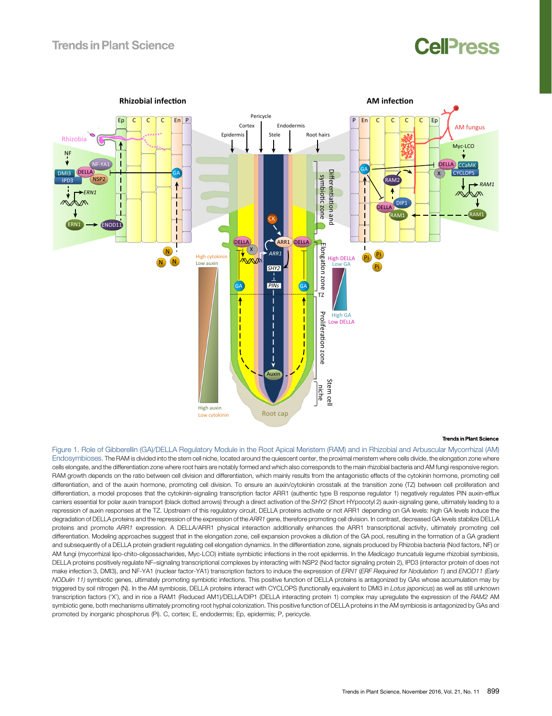# CelPress

<span id="page-1-0"></span>

### **Trends in Plant Science**

Figure 1. Role of Gibberellin (GA)/DELLA Regulatory Module in the Root Apical Meristem (RAM) and in Rhizobial and Arbuscular Mycorrhizal (AM) Endosymbioses. The RAM is divided into the stem cell niche, located around the quiescent center, the proximal meristem where cells divide, the elongation zone where cells elongate, and the differentiation zone where root hairs are notably formed and which also corresponds to the main rhizobial bacteria and AM fungi responsive region. RAM growth depends on the ratio between cell division and differentiation, which mainly results from the antagonistic effects of the cytokinin hormone, promoting cell differentiation, and of the auxin hormone, promoting cell division. To ensure an auxin/cytokinin crosstalk at the transition zone (TZ) between cell proliferation and differentiation, a model proposes that the cytokinin-signaling transcription factor ARR1 (authentic type B response regulator 1) negatively regulates PIN auxin-efflux carriers essential for polar auxin transport (black dotted arrows) through a direct activation of the SHY2 (Short HYpocotyl 2) auxin-signaling gene, ultimately leading to a repression of auxin responses at the TZ. Upstream of this regulatory circuit, DELLA proteins activate or not ARR1 depending on GA levels: high GA levels induce the degradation of DELLA proteins and the repression of the expression of the ARR1 gene, therefore promoting cell division. In contrast, decreased GA levels stabilize DELLA proteins and promote ARR1 expression. A DELLA/ARR1 physical interaction additionally enhances the ARR1 transcriptional activity, ultimately promoting cell differentiation. Modeling approaches suggest that in the elongation zone, cell expansion provokes a dilution of the GA pool, resulting in the formation of a GA gradient and subsequently of a DELLA protein gradient regulating cell elongation dynamics. In the differentiation zone, signals produced by Rhizobia bacteria (Nod factors, NF) or AM fungi (mycorrhizal lipo-chito-oligossacharides, Myc-LCO) initiate symbiotic infections in the root epidermis. In the Medicago truncatula legume rhizobial symbiosis, DELLA proteins positively regulate NF-signaling transcriptional complexes by interacting with NSP2 (Nod factor signaling protein 2), IPD3 (interactor protein of does not make infection 3, DMI3), and NF-YA1 (nuclear factor-YA1) transcription factors to induce the expression of ERN1 (ERF Required for Nodulation 1) and ENOD11 (Early NODulin 11) symbiotic genes, ultimately promoting symbiotic infections. This positive function of DELLA proteins is antagonized by GAs whose accumulation may by triggered by soil nitrogen (N). In the AM symbiosis, DELLA proteins interact with CYCLOPS (functionally equivalent to DMI3 in Lotus japonicus) as well as still unknown transcription factors ('X'), and in rice a RAM1 (Reduced AM1)/DELLA/DIP1 (DELLA interacting protein 1) complex may upregulate the expression of the RAM2 AM symbiotic gene, both mechanisms ultimately promoting root hyphal colonization. This positive function of DELLA proteins in the AM symbiosis is antagonized by GAs and promoted by inorganic phosphorus (Pi). C, cortex; E, endodermis; Ep, epidermis; P, pericycle.